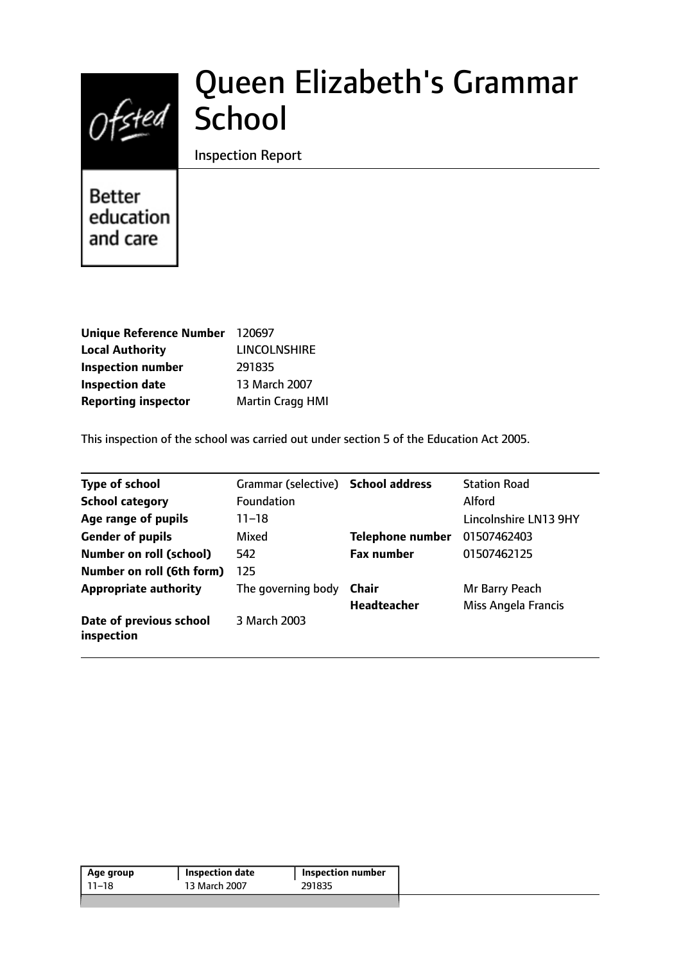# Ofsted School

# Queen Elizabeth's Grammar

Inspection Report

Better education and care

| 120697                  |
|-------------------------|
| <b>LINCOLNSHIRE</b>     |
| 291835                  |
| 13 March 2007           |
| <b>Martin Cragg HMI</b> |
|                         |

This inspection of the school was carried out under section 5 of the Education Act 2005.

| <b>Type of school</b>                 | Grammar (selective) School address |                         | <b>Station Road</b>        |
|---------------------------------------|------------------------------------|-------------------------|----------------------------|
| <b>School category</b>                | Foundation                         |                         | <b>Alford</b>              |
| Age range of pupils                   | $11 - 18$                          |                         | Lincolnshire LN13 9HY      |
| <b>Gender of pupils</b>               | Mixed                              | <b>Telephone number</b> | 01507462403                |
| <b>Number on roll (school)</b>        | 542                                | <b>Fax number</b>       | 01507462125                |
| Number on roll (6th form)             | 125                                |                         |                            |
| <b>Appropriate authority</b>          | The governing body                 | Chair                   | Mr Barry Peach             |
|                                       |                                    | Headteacher             | <b>Miss Angela Francis</b> |
| Date of previous school<br>inspection | 3 March 2003                       |                         |                            |

| Age group | <b>Inspection date</b> | Inspection number |
|-----------|------------------------|-------------------|
| 11–18     | 13 March 2007          | 291835            |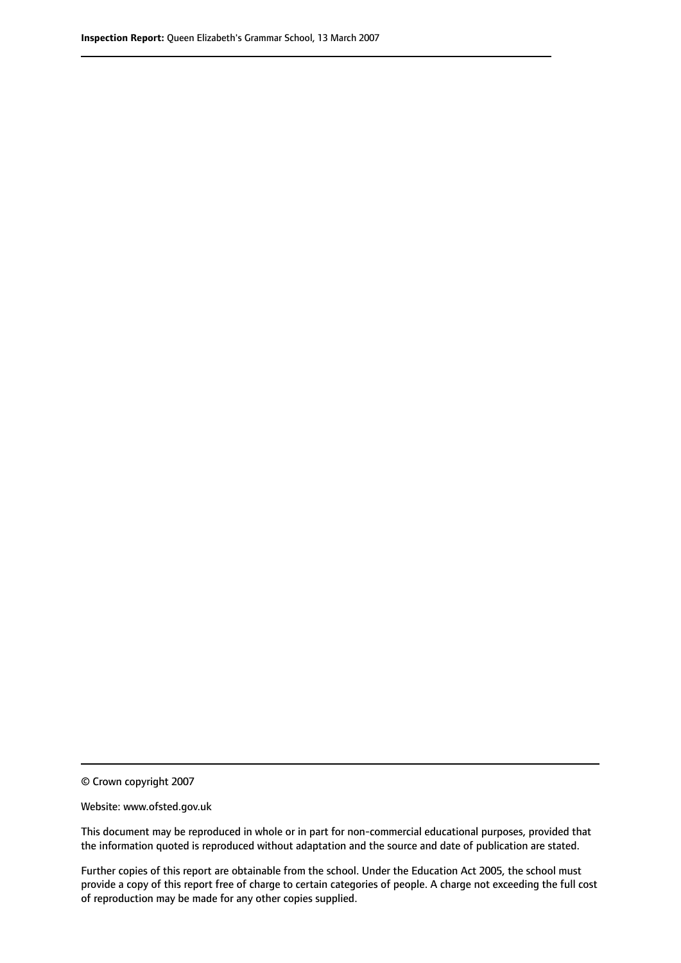© Crown copyright 2007

Website: www.ofsted.gov.uk

This document may be reproduced in whole or in part for non-commercial educational purposes, provided that the information quoted is reproduced without adaptation and the source and date of publication are stated.

Further copies of this report are obtainable from the school. Under the Education Act 2005, the school must provide a copy of this report free of charge to certain categories of people. A charge not exceeding the full cost of reproduction may be made for any other copies supplied.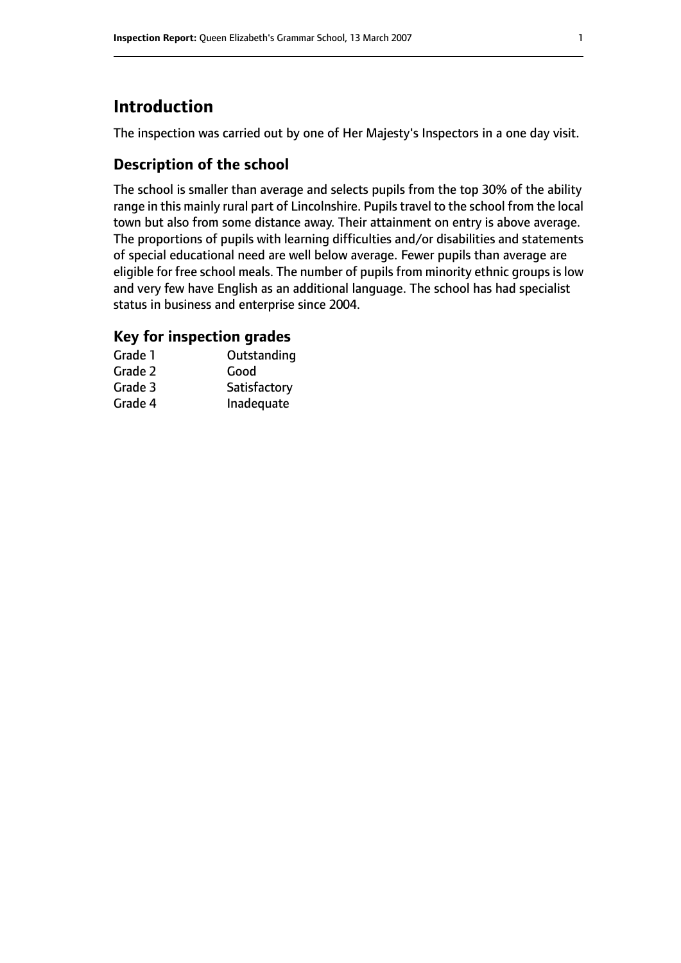## **Introduction**

The inspection was carried out by one of Her Majesty's Inspectors in a one day visit.

## **Description of the school**

The school is smaller than average and selects pupils from the top 30% of the ability range in this mainly rural part of Lincolnshire. Pupils travel to the school from the local town but also from some distance away. Their attainment on entry is above average. The proportions of pupils with learning difficulties and/or disabilities and statements of special educational need are well below average. Fewer pupils than average are eligible for free school meals. The number of pupils from minority ethnic groups is low and very few have English as an additional language. The school has had specialist status in business and enterprise since 2004.

### **Key for inspection grades**

| Grade 1 | Outstanding  |
|---------|--------------|
| Grade 2 | Good         |
| Grade 3 | Satisfactory |
| Grade 4 | Inadequate   |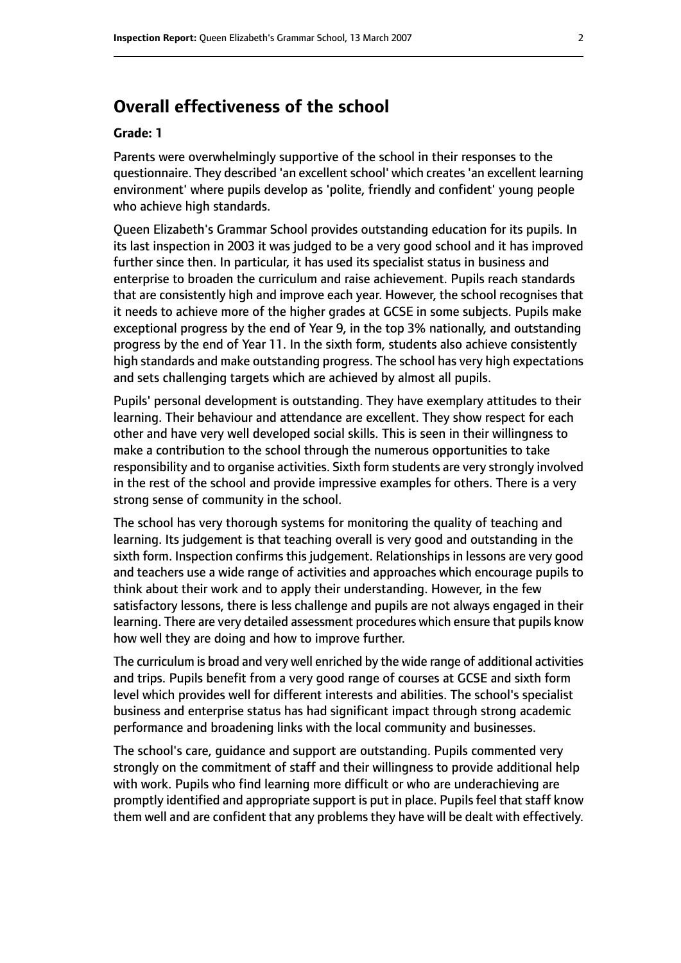## **Overall effectiveness of the school**

#### **Grade: 1**

Parents were overwhelmingly supportive of the school in their responses to the questionnaire. They described 'an excellent school' which creates 'an excellent learning environment' where pupils develop as 'polite, friendly and confident' young people who achieve high standards.

Queen Elizabeth's Grammar School provides outstanding education for its pupils. In its last inspection in 2003 it was judged to be a very good school and it has improved further since then. In particular, it has used its specialist status in business and enterprise to broaden the curriculum and raise achievement. Pupils reach standards that are consistently high and improve each year. However, the school recognises that it needs to achieve more of the higher grades at GCSE in some subjects. Pupils make exceptional progress by the end of Year 9, in the top 3% nationally, and outstanding progress by the end of Year 11. In the sixth form, students also achieve consistently high standards and make outstanding progress. The school has very high expectations and sets challenging targets which are achieved by almost all pupils.

Pupils' personal development is outstanding. They have exemplary attitudes to their learning. Their behaviour and attendance are excellent. They show respect for each other and have very well developed social skills. This is seen in their willingness to make a contribution to the school through the numerous opportunities to take responsibility and to organise activities. Sixth form students are very strongly involved in the rest of the school and provide impressive examples for others. There is a very strong sense of community in the school.

The school has very thorough systems for monitoring the quality of teaching and learning. Its judgement is that teaching overall is very good and outstanding in the sixth form. Inspection confirms this judgement. Relationships in lessons are very good and teachers use a wide range of activities and approaches which encourage pupils to think about their work and to apply their understanding. However, in the few satisfactory lessons, there is less challenge and pupils are not always engaged in their learning. There are very detailed assessment procedures which ensure that pupils know how well they are doing and how to improve further.

The curriculum is broad and very well enriched by the wide range of additional activities and trips. Pupils benefit from a very good range of courses at GCSE and sixth form level which provides well for different interests and abilities. The school's specialist business and enterprise status has had significant impact through strong academic performance and broadening links with the local community and businesses.

The school's care, guidance and support are outstanding. Pupils commented very strongly on the commitment of staff and their willingness to provide additional help with work. Pupils who find learning more difficult or who are underachieving are promptly identified and appropriate support is put in place. Pupils feel that staff know them well and are confident that any problems they have will be dealt with effectively.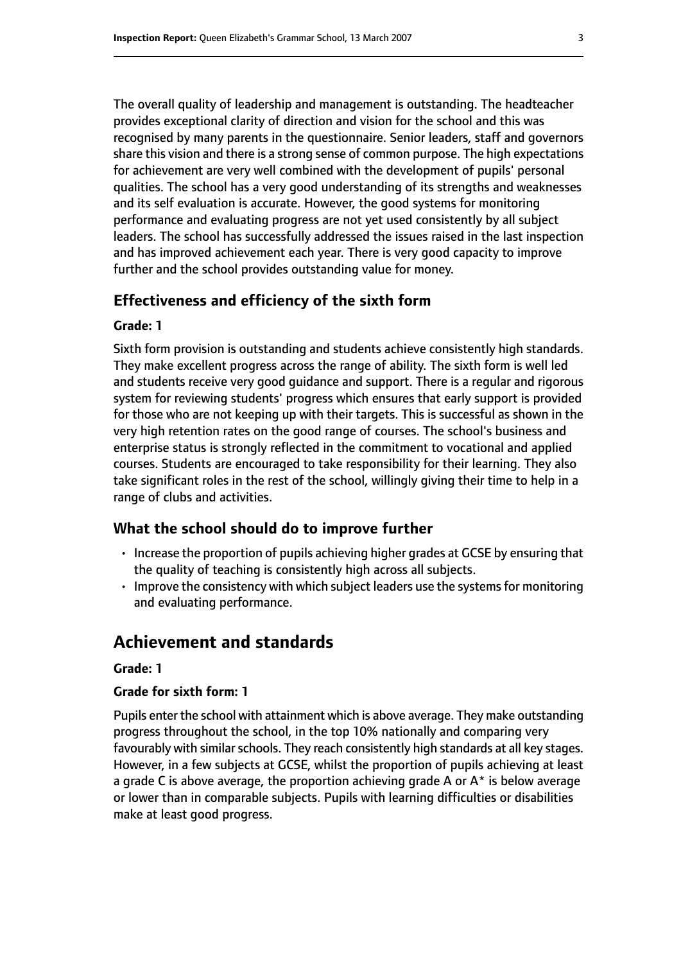The overall quality of leadership and management is outstanding. The headteacher provides exceptional clarity of direction and vision for the school and this was recognised by many parents in the questionnaire. Senior leaders, staff and governors share this vision and there is a strong sense of common purpose. The high expectations for achievement are very well combined with the development of pupils' personal qualities. The school has a very good understanding of its strengths and weaknesses and its self evaluation is accurate. However, the good systems for monitoring performance and evaluating progress are not yet used consistently by all subject leaders. The school has successfully addressed the issues raised in the last inspection and has improved achievement each year. There is very good capacity to improve further and the school provides outstanding value for money.

#### **Effectiveness and efficiency of the sixth form**

#### **Grade: 1**

Sixth form provision is outstanding and students achieve consistently high standards. They make excellent progress across the range of ability. The sixth form is well led and students receive very good guidance and support. There is a regular and rigorous system for reviewing students' progress which ensures that early support is provided for those who are not keeping up with their targets. This is successful as shown in the very high retention rates on the good range of courses. The school's business and enterprise status is strongly reflected in the commitment to vocational and applied courses. Students are encouraged to take responsibility for their learning. They also take significant roles in the rest of the school, willingly giving their time to help in a range of clubs and activities.

#### **What the school should do to improve further**

- Increase the proportion of pupils achieving higher grades at GCSE by ensuring that the quality of teaching is consistently high across all subjects.
- Improve the consistency with which subject leaders use the systems for monitoring and evaluating performance.

## **Achievement and standards**

#### **Grade: 1**

#### **Grade for sixth form: 1**

Pupils enter the school with attainment which is above average. They make outstanding progress throughout the school, in the top 10% nationally and comparing very favourably with similar schools. They reach consistently high standards at all key stages. However, in a few subjects at GCSE, whilst the proportion of pupils achieving at least a grade C is above average, the proportion achieving grade A or  $A^*$  is below average or lower than in comparable subjects. Pupils with learning difficulties or disabilities make at least good progress.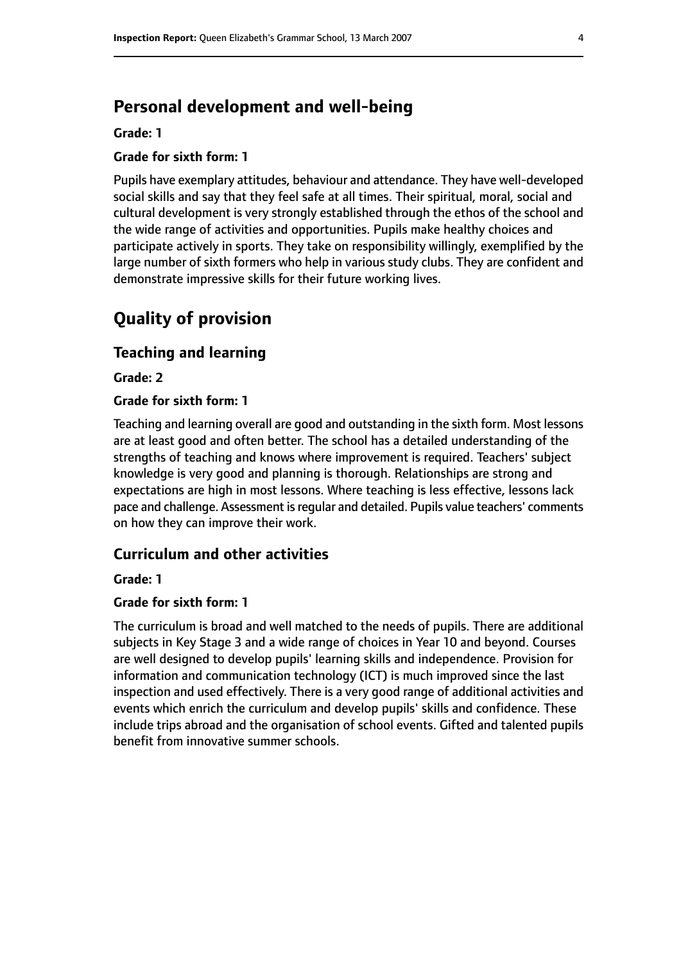## **Personal development and well-being**

#### **Grade: 1**

#### **Grade for sixth form: 1**

Pupils have exemplary attitudes, behaviour and attendance. They have well-developed social skills and say that they feel safe at all times. Their spiritual, moral, social and cultural development is very strongly established through the ethos of the school and the wide range of activities and opportunities. Pupils make healthy choices and participate actively in sports. They take on responsibility willingly, exemplified by the large number of sixth formers who help in various study clubs. They are confident and demonstrate impressive skills for their future working lives.

## **Quality of provision**

#### **Teaching and learning**

**Grade: 2**

#### **Grade for sixth form: 1**

Teaching and learning overall are good and outstanding in the sixth form. Most lessons are at least good and often better. The school has a detailed understanding of the strengths of teaching and knows where improvement is required. Teachers' subject knowledge is very good and planning is thorough. Relationships are strong and expectations are high in most lessons. Where teaching is less effective, lessons lack pace and challenge. Assessment is regular and detailed. Pupils value teachers' comments on how they can improve their work.

#### **Curriculum and other activities**

#### **Grade: 1**

#### **Grade for sixth form: 1**

The curriculum is broad and well matched to the needs of pupils. There are additional subjects in Key Stage 3 and a wide range of choices in Year 10 and beyond. Courses are well designed to develop pupils' learning skills and independence. Provision for information and communication technology (ICT) is much improved since the last inspection and used effectively. There is a very good range of additional activities and events which enrich the curriculum and develop pupils' skills and confidence. These include trips abroad and the organisation of school events. Gifted and talented pupils benefit from innovative summer schools.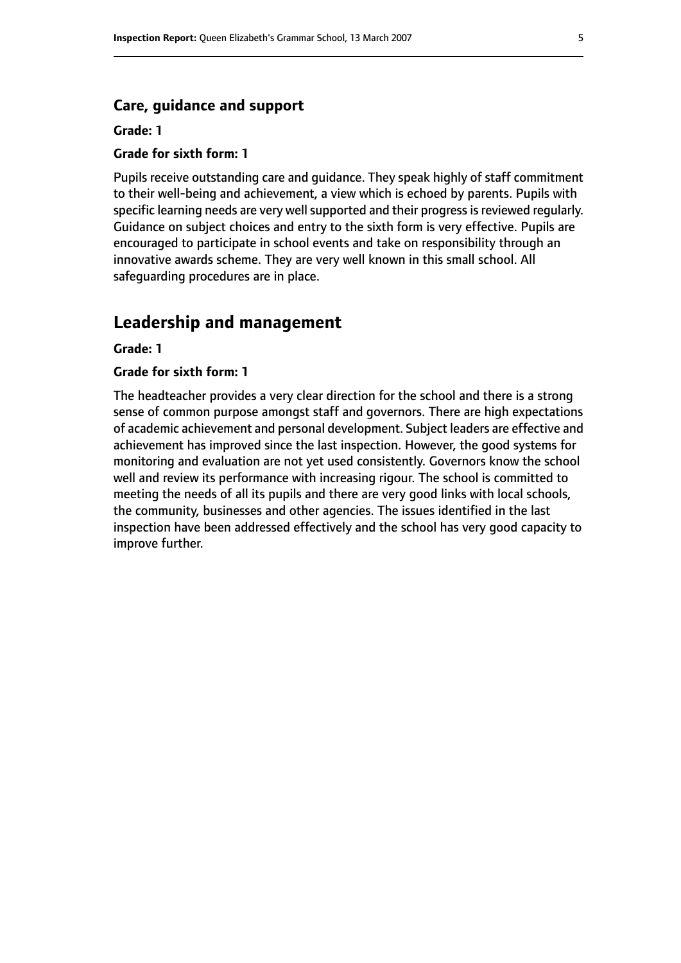#### **Care, guidance and support**

#### **Grade: 1**

#### **Grade for sixth form: 1**

Pupils receive outstanding care and guidance. They speak highly of staff commitment to their well-being and achievement, a view which is echoed by parents. Pupils with specific learning needs are very well supported and their progress is reviewed regularly. Guidance on subject choices and entry to the sixth form is very effective. Pupils are encouraged to participate in school events and take on responsibility through an innovative awards scheme. They are very well known in this small school. All safeguarding procedures are in place.

## **Leadership and management**

#### **Grade: 1**

#### **Grade for sixth form: 1**

The headteacher provides a very clear direction for the school and there is a strong sense of common purpose amongst staff and governors. There are high expectations of academic achievement and personal development. Subject leaders are effective and achievement has improved since the last inspection. However, the good systems for monitoring and evaluation are not yet used consistently. Governors know the school well and review its performance with increasing rigour. The school is committed to meeting the needs of all its pupils and there are very good links with local schools, the community, businesses and other agencies. The issues identified in the last inspection have been addressed effectively and the school has very good capacity to improve further.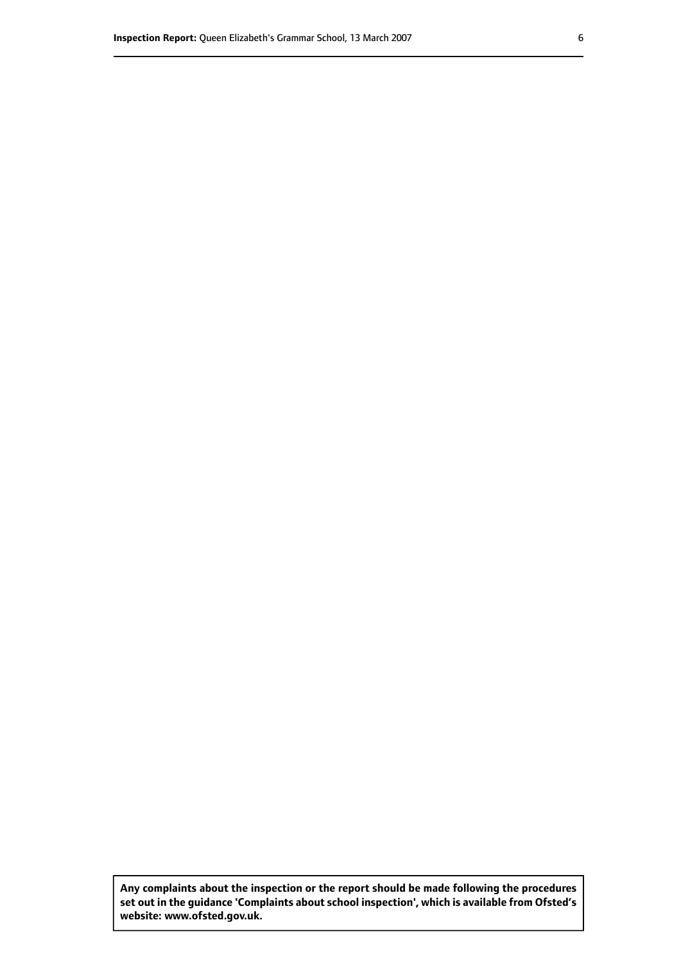**Any complaints about the inspection or the report should be made following the procedures set out inthe guidance 'Complaints about school inspection', whichis available from Ofsted's website: www.ofsted.gov.uk.**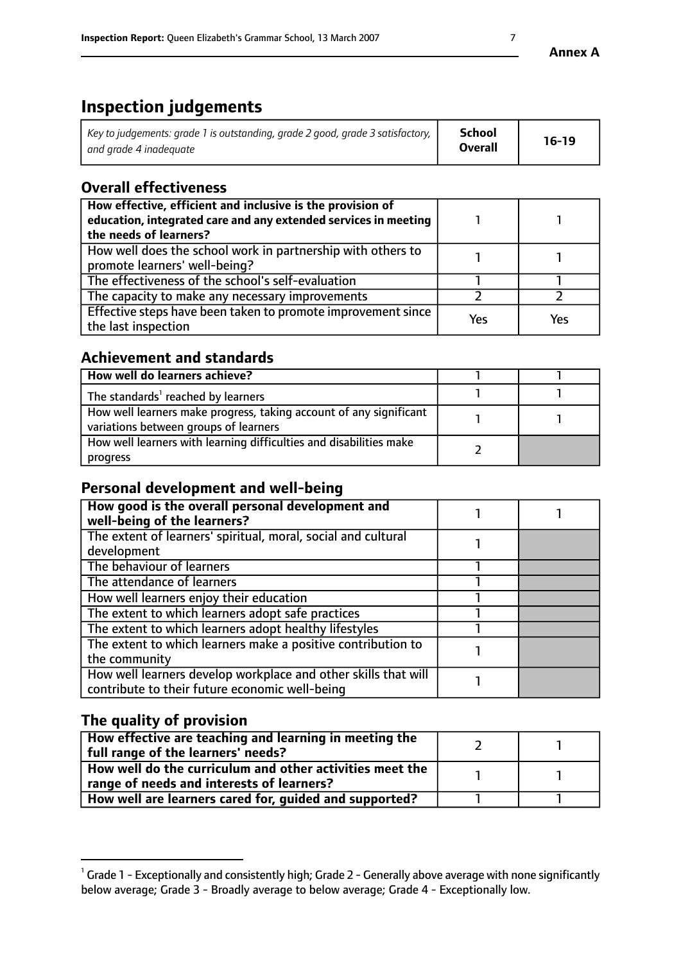## **Inspection judgements**

| Key to judgements: grade 1 is outstanding, grade 2 good, grade 3 satisfactory, $\mid$ | School         | $16-19$ |
|---------------------------------------------------------------------------------------|----------------|---------|
| and grade 4 inadeguate                                                                | <b>Overall</b> |         |

## **Overall effectiveness**

| How effective, efficient and inclusive is the provision of<br>education, integrated care and any extended services in meeting<br>the needs of learners? |     |     |
|---------------------------------------------------------------------------------------------------------------------------------------------------------|-----|-----|
| How well does the school work in partnership with others to<br>promote learners' well-being?                                                            |     |     |
| The effectiveness of the school's self-evaluation                                                                                                       |     |     |
| The capacity to make any necessary improvements                                                                                                         |     |     |
| Effective steps have been taken to promote improvement since<br>the last inspection                                                                     | Yes | Yes |

### **Achievement and standards**

| How well do learners achieve?                                                                               |  |
|-------------------------------------------------------------------------------------------------------------|--|
| The standards <sup>1</sup> reached by learners                                                              |  |
| How well learners make progress, taking account of any significant<br>variations between groups of learners |  |
| How well learners with learning difficulties and disabilities make<br>progress                              |  |

## **Personal development and well-being**

| How good is the overall personal development and<br>well-being of the learners?                                  |  |
|------------------------------------------------------------------------------------------------------------------|--|
| The extent of learners' spiritual, moral, social and cultural<br>development                                     |  |
| The behaviour of learners                                                                                        |  |
| The attendance of learners                                                                                       |  |
| How well learners enjoy their education                                                                          |  |
| The extent to which learners adopt safe practices                                                                |  |
| The extent to which learners adopt healthy lifestyles                                                            |  |
| The extent to which learners make a positive contribution to<br>the community                                    |  |
| How well learners develop workplace and other skills that will<br>contribute to their future economic well-being |  |

## **The quality of provision**

| How effective are teaching and learning in meeting the<br>full range of the learners' needs?          |  |
|-------------------------------------------------------------------------------------------------------|--|
| How well do the curriculum and other activities meet the<br>range of needs and interests of learners? |  |
| How well are learners cared for, guided and supported?                                                |  |

 $^1$  Grade 1 - Exceptionally and consistently high; Grade 2 - Generally above average with none significantly below average; Grade 3 - Broadly average to below average; Grade 4 - Exceptionally low.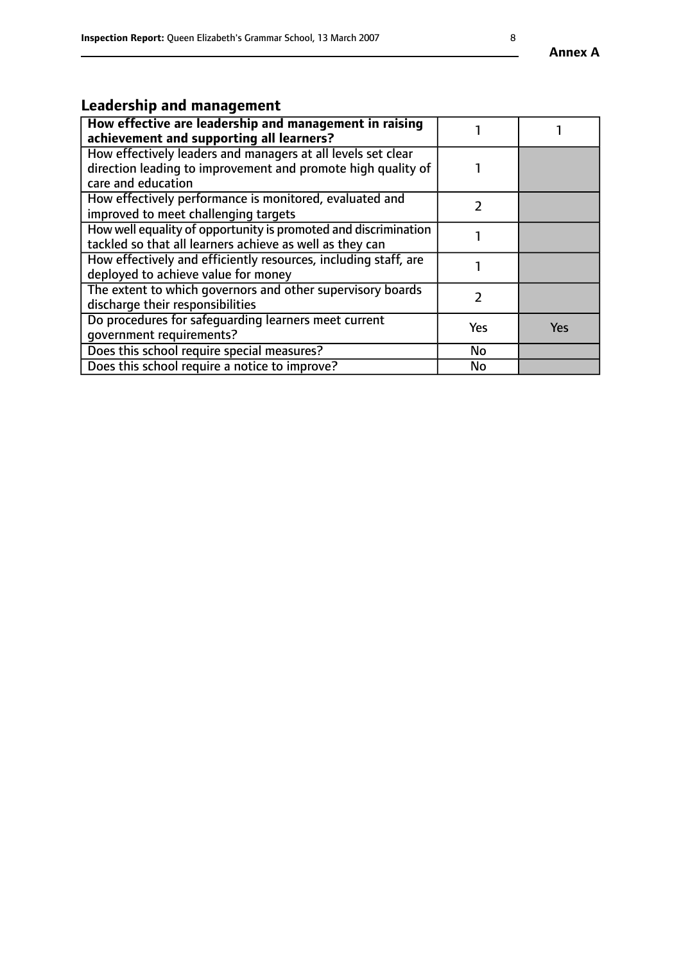# **Leadership and management**

| How effective are leadership and management in raising<br>achievement and supporting all learners?                                                 |     |     |
|----------------------------------------------------------------------------------------------------------------------------------------------------|-----|-----|
| How effectively leaders and managers at all levels set clear<br>direction leading to improvement and promote high quality of<br>care and education |     |     |
| How effectively performance is monitored, evaluated and<br>improved to meet challenging targets                                                    |     |     |
| How well equality of opportunity is promoted and discrimination<br>tackled so that all learners achieve as well as they can                        |     |     |
| How effectively and efficiently resources, including staff, are<br>deployed to achieve value for money                                             |     |     |
| The extent to which governors and other supervisory boards<br>discharge their responsibilities                                                     |     |     |
| Do procedures for safequarding learners meet current<br>qovernment requirements?                                                                   | Yes | Yes |
| Does this school require special measures?                                                                                                         | No  |     |
| Does this school require a notice to improve?                                                                                                      | No  |     |